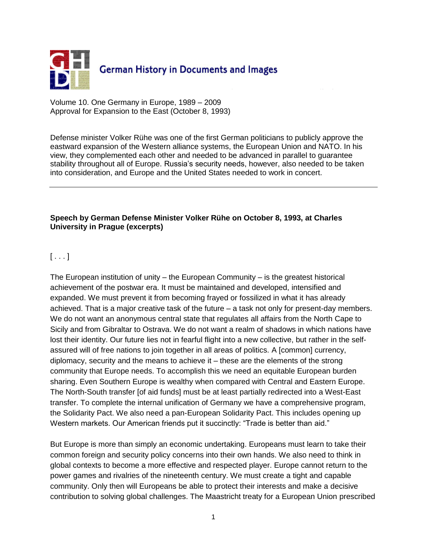

Volume 10. One Germany in Europe, 1989 – 2009 Approval for Expansion to the East (October 8, 1993)

Defense minister Volker Rühe was one of the first German politicians to publicly approve the eastward expansion of the Western alliance systems, the European Union and NATO. In his view, they complemented each other and needed to be advanced in parallel to guarantee stability throughout all of Europe. Russia's security needs, however, also needed to be taken into consideration, and Europe and the United States needed to work in concert.

## **Speech by German Defense Minister Volker Rühe on October 8, 1993, at Charles University in Prague (excerpts)**

## $[\ldots]$

The European institution of unity  $-$  the European Community  $-$  is the greatest historical achievement of the postwar era. It must be maintained and developed, intensified and expanded. We must prevent it from becoming frayed or fossilized in what it has already achieved. That is a major creative task of the future – a task not only for present-day members. We do not want an anonymous central state that regulates all affairs from the North Cape to Sicily and from Gibraltar to Ostrava. We do not want a realm of shadows in which nations have lost their identity. Our future lies not in fearful flight into a new collective, but rather in the selfassured will of free nations to join together in all areas of politics. A [common] currency, diplomacy, security and the means to achieve it – these are the elements of the strong community that Europe needs. To accomplish this we need an equitable European burden sharing. Even Southern Europe is wealthy when compared with Central and Eastern Europe. The North-South transfer [of aid funds] must be at least partially redirected into a West-East transfer. To complete the internal unification of Germany we have a comprehensive program, the Solidarity Pact. We also need a pan-European Solidarity Pact. This includes opening up Western markets. Our American friends put it succinctly: "Trade is better than aid."

But Europe is more than simply an economic undertaking. Europeans must learn to take their common foreign and security policy concerns into their own hands. We also need to think in global contexts to become a more effective and respected player. Europe cannot return to the power games and rivalries of the nineteenth century. We must create a tight and capable community. Only then will Europeans be able to protect their interests and make a decisive contribution to solving global challenges. The Maastricht treaty for a European Union prescribed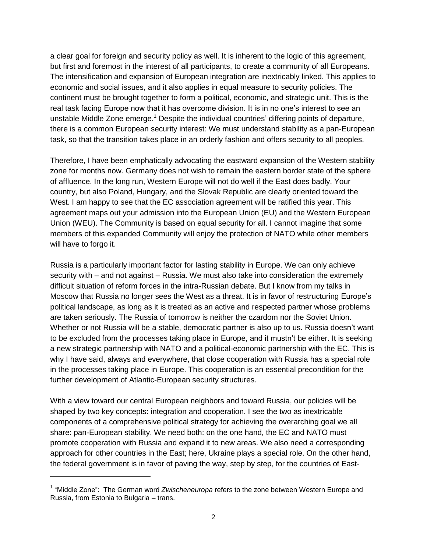a clear goal for foreign and security policy as well. It is inherent to the logic of this agreement, but first and foremost in the interest of all participants, to create a community of all Europeans. The intensification and expansion of European integration are inextricably linked. This applies to economic and social issues, and it also applies in equal measure to security policies. The continent must be brought together to form a political, economic, and strategic unit. This is the real task facing Europe now that it has overcome division. It is in no one's interest to see an unstable Middle Zone emerge.<sup>1</sup> Despite the individual countries' differing points of departure, there is a common European security interest: We must understand stability as a pan-European task, so that the transition takes place in an orderly fashion and offers security to all peoples.

Therefore, I have been emphatically advocating the eastward expansion of the Western stability zone for months now. Germany does not wish to remain the eastern border state of the sphere of affluence. In the long run, Western Europe will not do well if the East does badly. Your country, but also Poland, Hungary, and the Slovak Republic are clearly oriented toward the West. I am happy to see that the EC association agreement will be ratified this year. This agreement maps out your admission into the European Union (EU) and the Western European Union (WEU). The Community is based on equal security for all. I cannot imagine that some members of this expanded Community will enjoy the protection of NATO while other members will have to forgo it.

Russia is a particularly important factor for lasting stability in Europe. We can only achieve security with – and not against – Russia. We must also take into consideration the extremely difficult situation of reform forces in the intra-Russian debate. But I know from my talks in Moscow that Russia no longer sees the West as a threat. It is in favor of restructuring Europe's political landscape, as long as it is treated as an active and respected partner whose problems are taken seriously. The Russia of tomorrow is neither the czardom nor the Soviet Union. Whether or not Russia will be a stable, democratic partner is also up to us. Russia doesn't want to be excluded from the processes taking place in Europe, and it mustn't be either. It is seeking a new strategic partnership with NATO and a political-economic partnership with the EC. This is why I have said, always and everywhere, that close cooperation with Russia has a special role in the processes taking place in Europe. This cooperation is an essential precondition for the further development of Atlantic-European security structures.

With a view toward our central European neighbors and toward Russia, our policies will be shaped by two key concepts: integration and cooperation. I see the two as inextricable components of a comprehensive political strategy for achieving the overarching goal we all share: pan-European stability. We need both: on the one hand, the EC and NATO must promote cooperation with Russia and expand it to new areas. We also need a corresponding approach for other countries in the East; here, Ukraine plays a special role. On the other hand, the federal government is in favor of paving the way, step by step, for the countries of East-

 $\overline{a}$ 

<sup>&</sup>lt;sup>1</sup> "Middle Zone": The German word Zwischeneuropa refers to the zone between Western Europe and Russia, from Estonia to Bulgaria – trans.